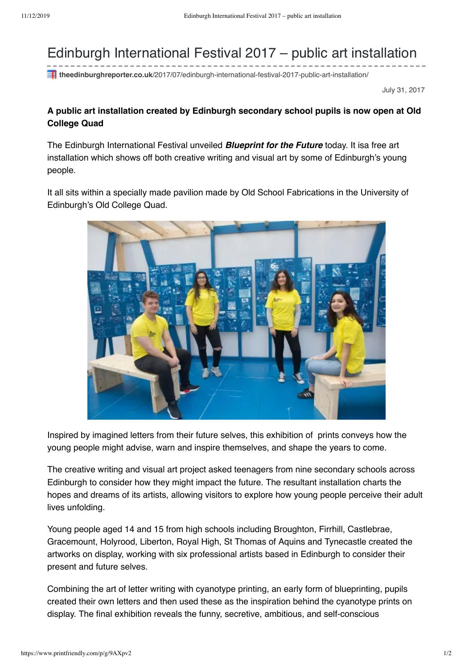## Edinburgh International Festival 2017 – public art installation

**theedinburghreporter.co.uk**/2017/07/edinburgh-international-festival-2017-public-art-installation/

July 31, 2017

## **A public art installation created by Edinburgh secondary school pupils is now open at Old College Quad**

The Edinburgh International Festival unveiled **Blueprint for the Future** today. It isa free art installation which shows off both creative writing and visual art by some of Edinburgh's young people.

It all sits within a specially made pavilion made by Old School Fabrications in the University of Edinburgh's Old College Quad.



Inspired by imagined letters from their future selves, this exhibition of prints conveys how the young people might advise, warn and inspire themselves, and shape the years to come.

The creative writing and visual art project asked teenagers from nine secondary schools across Edinburgh to consider how they might impact the future. The resultant installation charts the hopes and dreams of its artists, allowing visitors to explore how young people perceive their adult lives unfolding.

Young people aged 14 and 15 from high schools including Broughton, Firrhill, Castlebrae, Gracemount, Holyrood, Liberton, Royal High, St Thomas of Aquins and Tynecastle created the artworks on display, working with six professional artists based in Edinburgh to consider their present and future selves.

Combining the art of letter writing with cyanotype printing, an early form of blueprinting, pupils created their own letters and then used these as the inspiration behind the cyanotype prints on display. The final exhibition reveals the funny, secretive, ambitious, and self-conscious